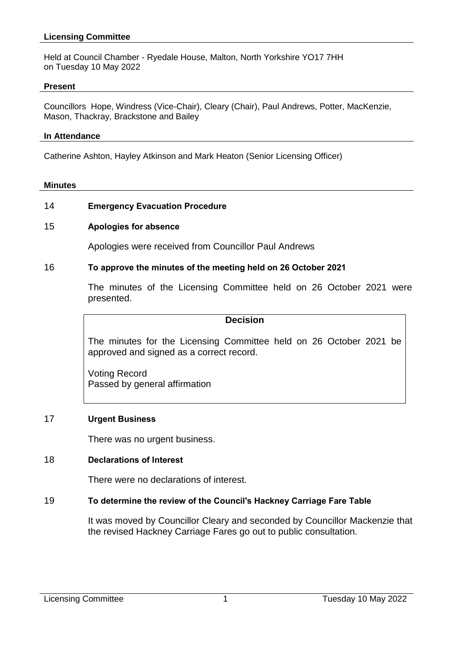## **Licensing Committee**

Held at Council Chamber - Ryedale House, Malton, North Yorkshire YO17 7HH on Tuesday 10 May 2022

#### **Present**

Councillors Hope, Windress (Vice-Chair), Cleary (Chair), Paul Andrews, Potter, MacKenzie, Mason, Thackray, Brackstone and Bailey

#### **In Attendance**

Catherine Ashton, Hayley Atkinson and Mark Heaton (Senior Licensing Officer)

#### **Minutes**

## 14 **Emergency Evacuation Procedure**

## 15 **Apologies for absence**

Apologies were received from Councillor Paul Andrews

#### 16 **To approve the minutes of the meeting held on 26 October 2021**

The minutes of the Licensing Committee held on 26 October 2021 were presented.

## **Decision**

The minutes for the Licensing Committee held on 26 October 2021 be approved and signed as a correct record.

Voting Record Passed by general affirmation

## 17 **Urgent Business**

There was no urgent business.

## 18 **Declarations of Interest**

There were no declarations of interest.

## 19 **To determine the review of the Council's Hackney Carriage Fare Table**

It was moved by Councillor Cleary and seconded by Councillor Mackenzie that the revised Hackney Carriage Fares go out to public consultation.